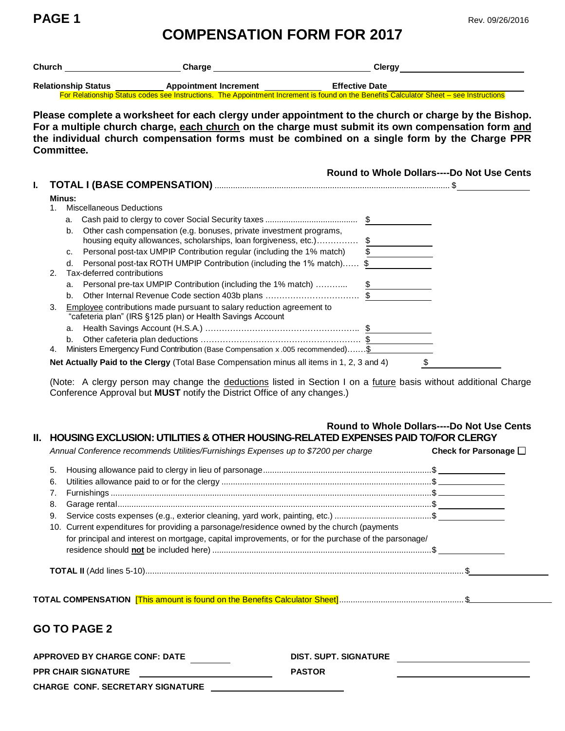**PAGE 1** Rev. 09/26/2016

## **COMPENSATION FORM FOR 2017**

|                | Church _________________________________Charge _________________________________                                                                                                                                                                                                                          | Clergy ____________________________               |
|----------------|-----------------------------------------------------------------------------------------------------------------------------------------------------------------------------------------------------------------------------------------------------------------------------------------------------------|---------------------------------------------------|
|                | Relationship Status<br>For Relationship Status codes see Instructions. The Appointment Increment is found on the Benefits Calculator Sheet – see Instructions                                                                                                                                             |                                                   |
| Committee.     | Please complete a worksheet for each clergy under appointment to the church or charge by the Bishop.<br>For a multiple church charge, each church on the charge must submit its own compensation form and<br>the individual church compensation forms must be combined on a single form by the Charge PPR |                                                   |
| L.             |                                                                                                                                                                                                                                                                                                           | <b>Round to Whole Dollars----Do Not Use Cents</b> |
| Minus:         |                                                                                                                                                                                                                                                                                                           |                                                   |
| 1 <sub>1</sub> | <b>Miscellaneous Deductions</b>                                                                                                                                                                                                                                                                           |                                                   |
|                |                                                                                                                                                                                                                                                                                                           |                                                   |
|                | Other cash compensation (e.g. bonuses, private investment programs,<br>$h_{-}$                                                                                                                                                                                                                            |                                                   |
|                | housing equity allowances, scholarships, loan forgiveness, etc.) \$                                                                                                                                                                                                                                       |                                                   |
|                | Personal post-tax UMPIP Contribution regular (including the 1% match)<br>$C_{r}$                                                                                                                                                                                                                          |                                                   |
| 2.             | Personal post-tax ROTH UMPIP Contribution (including the 1% match) \$<br>$d_{-}$<br>Tax-deferred contributions                                                                                                                                                                                            |                                                   |
|                | Personal pre-tax UMPIP Contribution (including the 1% match)  \$<br>a.                                                                                                                                                                                                                                    |                                                   |
|                | b.                                                                                                                                                                                                                                                                                                        |                                                   |
| 3.             | Employee contributions made pursuant to salary reduction agreement to<br>"cafeteria plan" (IRS §125 plan) or Health Savings Account                                                                                                                                                                       |                                                   |
|                | a.                                                                                                                                                                                                                                                                                                        |                                                   |
|                | $b_{-}$                                                                                                                                                                                                                                                                                                   |                                                   |
| 4.             | Ministers Emergency Fund Contribution (Base Compensation x .005 recommended) \$                                                                                                                                                                                                                           |                                                   |
|                | Net Actually Paid to the Clergy (Total Base Compensation minus all items in 1, 2, 3 and 4)                                                                                                                                                                                                                | \$                                                |

(Note: A clergy person may change the deductions listed in Section I on a future basis without additional Charge Conference Approval but **MUST** notify the District Office of any changes.)

## **Round to Whole Dollars----Do Not Use Cents II. HOUSING EXCLUSION: UTILITIES & OTHER HOUSING-RELATED EXPENSES PAID TO/FOR CLERGY**

|    | Annual Conference recommends Utilities/Furnishings Expenses up to \$7200 per charge                                                                                                               |                       | Check for Parsonage $\square$ |
|----|---------------------------------------------------------------------------------------------------------------------------------------------------------------------------------------------------|-----------------------|-------------------------------|
| 5. |                                                                                                                                                                                                   |                       |                               |
| 6. |                                                                                                                                                                                                   |                       |                               |
|    |                                                                                                                                                                                                   |                       |                               |
| 8. |                                                                                                                                                                                                   |                       |                               |
| 9. |                                                                                                                                                                                                   |                       |                               |
|    | 10. Current expenditures for providing a parsonage/residence owned by the church (payments<br>for principal and interest on mortgage, capital improvements, or for the purchase of the parsonage/ |                       |                               |
|    |                                                                                                                                                                                                   |                       |                               |
|    |                                                                                                                                                                                                   |                       |                               |
|    |                                                                                                                                                                                                   |                       |                               |
|    | <b>GO TO PAGE 2</b>                                                                                                                                                                               |                       |                               |
|    | <b>APPROVED BY CHARGE CONF: DATE</b>                                                                                                                                                              | DIST. SUPT. SIGNATURE |                               |
|    |                                                                                                                                                                                                   |                       |                               |

**PPR CHAIR SIGNATURE PASTOR**

**CHARGE CONF. SECRETARY SIGNATURE**